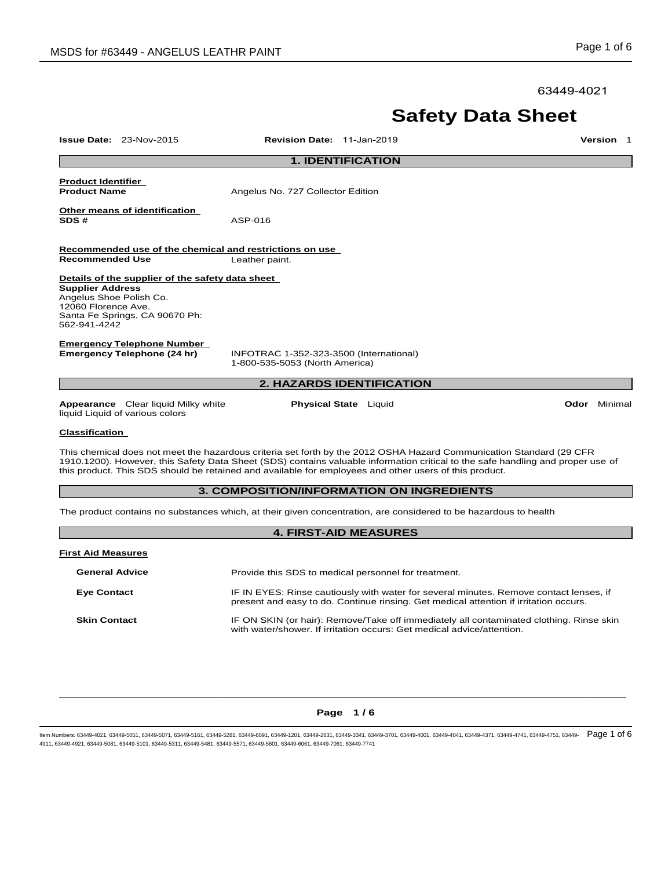63449-4021

# **Safety Data Sheet**

| <b>Issue Date: 23-Nov-2015</b>                                                                                                                                                                                                                                                                                                                                   |                                                                                    | Revision Date: 11-Jan-2019                                                |                                                                                                                                                                                 | Version 1    |  |  |
|------------------------------------------------------------------------------------------------------------------------------------------------------------------------------------------------------------------------------------------------------------------------------------------------------------------------------------------------------------------|------------------------------------------------------------------------------------|---------------------------------------------------------------------------|---------------------------------------------------------------------------------------------------------------------------------------------------------------------------------|--------------|--|--|
| <b>1. IDENTIFICATION</b>                                                                                                                                                                                                                                                                                                                                         |                                                                                    |                                                                           |                                                                                                                                                                                 |              |  |  |
| <b>Product Identifier</b><br><b>Product Name</b>                                                                                                                                                                                                                                                                                                                 |                                                                                    | Angelus No. 727 Collector Edition                                         |                                                                                                                                                                                 |              |  |  |
| SDS#                                                                                                                                                                                                                                                                                                                                                             | <u>Other means of identification</u>                                               | ASP-016                                                                   |                                                                                                                                                                                 |              |  |  |
| <b>Recommended Use</b>                                                                                                                                                                                                                                                                                                                                           |                                                                                    | Recommended use of the chemical and restrictions on use<br>Leather paint. |                                                                                                                                                                                 |              |  |  |
| <b>Supplier Address</b><br>Angelus Shoe Polish Co.<br>12060 Florence Ave.<br>562-941-4242                                                                                                                                                                                                                                                                        | Details of the supplier of the safety data sheet<br>Santa Fe Springs, CA 90670 Ph: |                                                                           |                                                                                                                                                                                 |              |  |  |
|                                                                                                                                                                                                                                                                                                                                                                  | <b>Emergency Telephone Number</b><br>Emergency Telephone (24 hr)                   | INFOTRAC 1-352-323-3500 (International)<br>1-800-535-5053 (North America) |                                                                                                                                                                                 |              |  |  |
|                                                                                                                                                                                                                                                                                                                                                                  |                                                                                    |                                                                           | <b>2. HAZARDS IDENTIFICATION</b>                                                                                                                                                |              |  |  |
| liquid Liquid of various colors                                                                                                                                                                                                                                                                                                                                  | <b>Appearance</b> Clear liquid Milky white                                         |                                                                           | <b>Physical State</b> Liquid                                                                                                                                                    | Odor Minimal |  |  |
|                                                                                                                                                                                                                                                                                                                                                                  | <b>Classification</b>                                                              |                                                                           |                                                                                                                                                                                 |              |  |  |
| This chemical does not meet the hazardous criteria set forth by the 2012 OSHA Hazard Communication Standard (29 CFR<br>1910.1200). However, this Safety Data Sheet (SDS) contains valuable information critical to the safe handling and proper use of<br>this product. This SDS should be retained and available for employees and other users of this product. |                                                                                    |                                                                           |                                                                                                                                                                                 |              |  |  |
| 3. COMPOSITION/INFORMATION ON INGREDIENTS                                                                                                                                                                                                                                                                                                                        |                                                                                    |                                                                           |                                                                                                                                                                                 |              |  |  |
| The product contains no substances which, at their given concentration, are considered to be hazardous to health                                                                                                                                                                                                                                                 |                                                                                    |                                                                           |                                                                                                                                                                                 |              |  |  |
| <b>4. FIRST-AID MEASURES</b>                                                                                                                                                                                                                                                                                                                                     |                                                                                    |                                                                           |                                                                                                                                                                                 |              |  |  |
| <b>First Aid Measures</b>                                                                                                                                                                                                                                                                                                                                        |                                                                                    |                                                                           |                                                                                                                                                                                 |              |  |  |
| <b>General Advice</b>                                                                                                                                                                                                                                                                                                                                            |                                                                                    |                                                                           | Provide this SDS to medical personnel for treatment.                                                                                                                            |              |  |  |
| <b>Eye Contact</b>                                                                                                                                                                                                                                                                                                                                               |                                                                                    |                                                                           | IF IN EYES: Rinse cautiously with water for several minutes. Remove contact lenses, if<br>present and easy to do. Continue rinsing. Get medical attention if irritation occurs. |              |  |  |
| <b>Skin Contact</b>                                                                                                                                                                                                                                                                                                                                              |                                                                                    |                                                                           | IF ON SKIN (or hair): Remove/Take off immediately all contaminated clothing. Rinse skin<br>with water/shower. If irritation occurs: Get medical advice/attention.               |              |  |  |

## $\Box$  . The contribution of the contribution of the contribution of the contribution of the contribution of the contribution of the contribution of the contribution of the contribution of the contribution of the contributi **Page 1 / 6**

ltem Numbers: 63449-4021, 63449-5051, 63449-5071, 63449-5161, 63449-5281, 63449-6091, 63449-4261, 63449-4370, 63449-4001, 63449-4041, 63449-4041, 63449-4741, 63449-4741, 63449-4741, 63449-4751, 63449-4751, 63449-4751, 6344 4911, 63449-4921, 63449-5081, 63449-5101, 63449-5311, 63449-5481, 63449-5571, 63449-5601, 63449-6061, 63449-7061, 63449-7741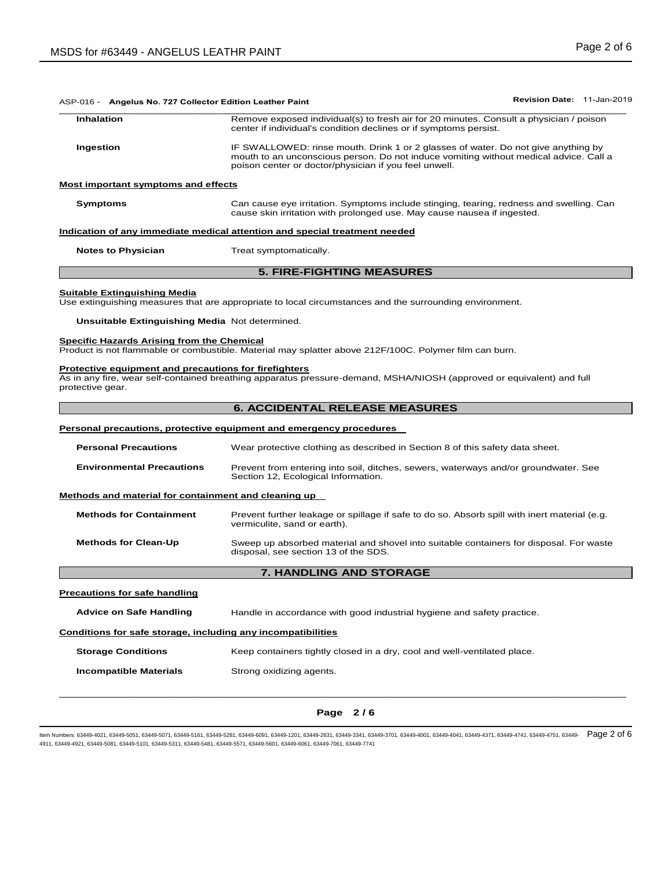| ASP-016 - Angelus No. 727 Collector Edition Leather Paint                                                                                                                    |                                                                                                                                                                                                                                     |  |  |  |
|------------------------------------------------------------------------------------------------------------------------------------------------------------------------------|-------------------------------------------------------------------------------------------------------------------------------------------------------------------------------------------------------------------------------------|--|--|--|
| <b>Inhalation</b>                                                                                                                                                            | Remove exposed individual(s) to fresh air for 20 minutes. Consult a physician / poison<br>center if individual's condition declines or if symptoms persist.                                                                         |  |  |  |
| Ingestion                                                                                                                                                                    | IF SWALLOWED: rinse mouth. Drink 1 or 2 glasses of water. Do not give anything by<br>mouth to an unconscious person. Do not induce vomiting without medical advice. Call a<br>poison center or doctor/physician if you feel unwell. |  |  |  |
| Most important symptoms and effects                                                                                                                                          |                                                                                                                                                                                                                                     |  |  |  |
| <b>Symptoms</b>                                                                                                                                                              | Can cause eye irritation. Symptoms include stinging, tearing, redness and swelling. Can<br>cause skin irritation with prolonged use. May cause nausea if ingested.                                                                  |  |  |  |
|                                                                                                                                                                              | Indication of any immediate medical attention and special treatment needed                                                                                                                                                          |  |  |  |
| <b>Notes to Physician</b>                                                                                                                                                    | Treat symptomatically.                                                                                                                                                                                                              |  |  |  |
|                                                                                                                                                                              | <b>5. FIRE-FIGHTING MEASURES</b>                                                                                                                                                                                                    |  |  |  |
| Unsuitable Extinguishing Media Not determined.                                                                                                                               | Use extinguishing measures that are appropriate to local circumstances and the surrounding environment.                                                                                                                             |  |  |  |
| <b>Suitable Extinguishing Media</b><br><b>Specific Hazards Arising from the Chemical</b><br><b>Protective equipment and precautions for firefighters</b><br>protective gear. | Product is not flammable or combustible. Material may splatter above 212F/100C. Polymer film can burn.<br>As in any fire, wear self-contained breathing apparatus pressure-demand, MSHA/NIOSH (approved or equivalent) and full     |  |  |  |
|                                                                                                                                                                              | <b>6. ACCIDENTAL RELEASE MEASURES</b>                                                                                                                                                                                               |  |  |  |
|                                                                                                                                                                              | Personal precautions, protective equipment and emergency procedures                                                                                                                                                                 |  |  |  |
| <b>Personal Precautions</b>                                                                                                                                                  | Wear protective clothing as described in Section 8 of this safety data sheet.                                                                                                                                                       |  |  |  |
| <b>Environmental Precautions</b>                                                                                                                                             | Prevent from entering into soil, ditches, sewers, waterways and/or groundwater. See<br>Section 12, Ecological Information.                                                                                                          |  |  |  |
| Methods and material for containment and cleaning up                                                                                                                         |                                                                                                                                                                                                                                     |  |  |  |
| <b>Methods for Containment</b>                                                                                                                                               | Prevent further leakage or spillage if safe to do so. Absorb spill with inert material (e.g.<br>vermiculite, sand or earth).                                                                                                        |  |  |  |

### **Precautions for safe handling**

**Advice on Safe Handling** Handle in accordance with good industrial hygiene and safety practice.

### **Conditions for safe storage, including any incompatibilities**

**Storage Conditions Keep containers tightly closed in a dry, cool and well-ventilated place. Incompatible Materials Strong oxidizing agents.** 

## $\Box$  . The contribution of the contribution of the contribution of the contribution of the contribution of the contribution of the contribution of the contribution of the contribution of the contribution of the contributi **Page 2 / 6**

ltem Numbers: 63449-4021, 63449-5051, 63449-5071, 63449-5161, 63449-5281, 63449-6091, 63449-4261, 63449-4370, 63449-4001, 63449-4041, 63449-4041, 63449-4741, 63449-4741, 63449-4741, 63449-4751, 63449-4751, 63449-4751, 6344 4911, 63449-4921, 63449-5081, 63449-5101, 63449-5311, 63449-5481, 63449-5571, 63449-5601, 63449-6061, 63449-7061, 63449-7741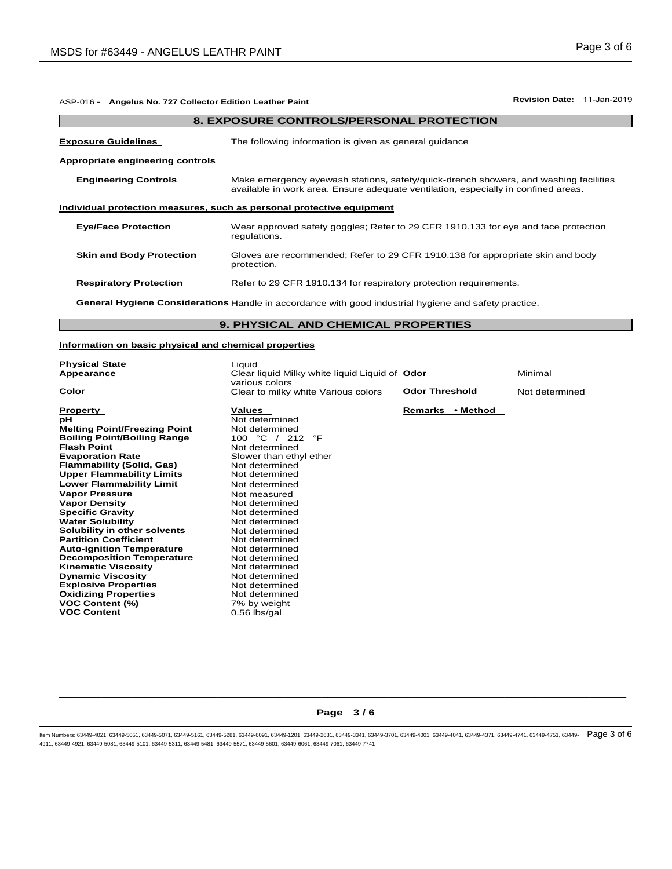| ASP-016 - Angelus No. 727 Collector Edition Leather Paint                                                    | Revision Date: 11-Jan-2019                                                                                                                                                 |  |  |  |  |
|--------------------------------------------------------------------------------------------------------------|----------------------------------------------------------------------------------------------------------------------------------------------------------------------------|--|--|--|--|
| <b>8. EXPOSURE CONTROLS/PERSONAL PROTECTION</b>                                                              |                                                                                                                                                                            |  |  |  |  |
| <b>Exposure Guidelines</b>                                                                                   | The following information is given as general guidance                                                                                                                     |  |  |  |  |
| Appropriate engineering controls                                                                             |                                                                                                                                                                            |  |  |  |  |
| <b>Engineering Controls</b>                                                                                  | Make emergency eyewash stations, safety/quick-drench showers, and washing facilities<br>available in work area. Ensure adequate ventilation, especially in confined areas. |  |  |  |  |
|                                                                                                              | Individual protection measures, such as personal protective equipment                                                                                                      |  |  |  |  |
| <b>Eye/Face Protection</b>                                                                                   | Wear approved safety goggles; Refer to 29 CFR 1910.133 for eye and face protection<br>regulations.                                                                         |  |  |  |  |
| <b>Skin and Body Protection</b>                                                                              | Gloves are recommended; Refer to 29 CFR 1910.138 for appropriate skin and body<br>protection.                                                                              |  |  |  |  |
| <b>Respiratory Protection</b>                                                                                | Refer to 29 CFR 1910.134 for respiratory protection requirements.                                                                                                          |  |  |  |  |
| <b>General Hygiene Considerations</b> Handle in accordance with good industrial hygiene and safety practice. |                                                                                                                                                                            |  |  |  |  |
|                                                                                                              | <b>9. PHYSICAL AND CHEMICAL PROPERTIES</b>                                                                                                                                 |  |  |  |  |

### **Information on basic physical and chemical properties**

| <b>Values</b><br>Remarks • Method<br><b>Property</b><br>рH<br>Not determined<br><b>Melting Point/Freezing Point</b><br>Not determined<br><b>Boiling Point/Boiling Range</b><br>$\rm ^{\circ}C$ /<br>100<br>212<br>°F<br><b>Flash Point</b><br>Not determined<br><b>Evaporation Rate</b><br>Slower than ethyl ether<br><b>Flammability (Solid, Gas)</b><br>Not determined<br><b>Upper Flammability Limits</b><br>Not determined<br><b>Lower Flammability Limit</b><br>Not determined<br><b>Vapor Pressure</b><br>Not measured<br><b>Vapor Density</b><br>Not determined<br><b>Specific Gravity</b><br>Not determined<br><b>Water Solubility</b><br>Not determined<br>Solubility in other solvents<br>Not determined<br><b>Partition Coefficient</b><br>Not determined<br><b>Auto-ignition Temperature</b><br>Not determined<br><b>Decomposition Temperature</b><br>Not determined<br><b>Kinematic Viscosity</b><br>Not determined<br><b>Dynamic Viscosity</b><br>Not determined<br><b>Explosive Properties</b><br>Not determined | <b>Physical State</b><br>Appearance<br>Color | Liquid<br>Clear liquid Milky white liquid Liquid of Odor<br>various colors<br>Clear to milky white Various colors | <b>Odor Threshold</b> | Minimal<br>Not determined |
|---------------------------------------------------------------------------------------------------------------------------------------------------------------------------------------------------------------------------------------------------------------------------------------------------------------------------------------------------------------------------------------------------------------------------------------------------------------------------------------------------------------------------------------------------------------------------------------------------------------------------------------------------------------------------------------------------------------------------------------------------------------------------------------------------------------------------------------------------------------------------------------------------------------------------------------------------------------------------------------------------------------------------------|----------------------------------------------|-------------------------------------------------------------------------------------------------------------------|-----------------------|---------------------------|
| <b>VOC Content (%)</b><br>7% by weight<br><b>VOC Content</b><br>$0.56$ lbs/gal                                                                                                                                                                                                                                                                                                                                                                                                                                                                                                                                                                                                                                                                                                                                                                                                                                                                                                                                                  | <b>Oxidizing Properties</b>                  | Not determined                                                                                                    |                       |                           |

## $\Box$  . The contribution of the contribution of the contribution of the contribution of the contribution of the contribution of the contribution of the contribution of the contribution of the contribution of the contributi **Page 3 / 6**

ltem Numbers: 63449-4021, 63449-5051, 63449-5071, 63449-5161, 63449-5281, 63449-6091, 63449-4261, 63449-4370, 63449-4001, 63449-4041, 63449-4871, 63449-4741, 63449-4751, 63449-4751, 63449-4751, 63449-4751, 63449-4751, 6344 4911, 63449-4921, 63449-5081, 63449-5101, 63449-5311, 63449-5481, 63449-5571, 63449-5601, 63449-6061, 63449-7061, 63449-7741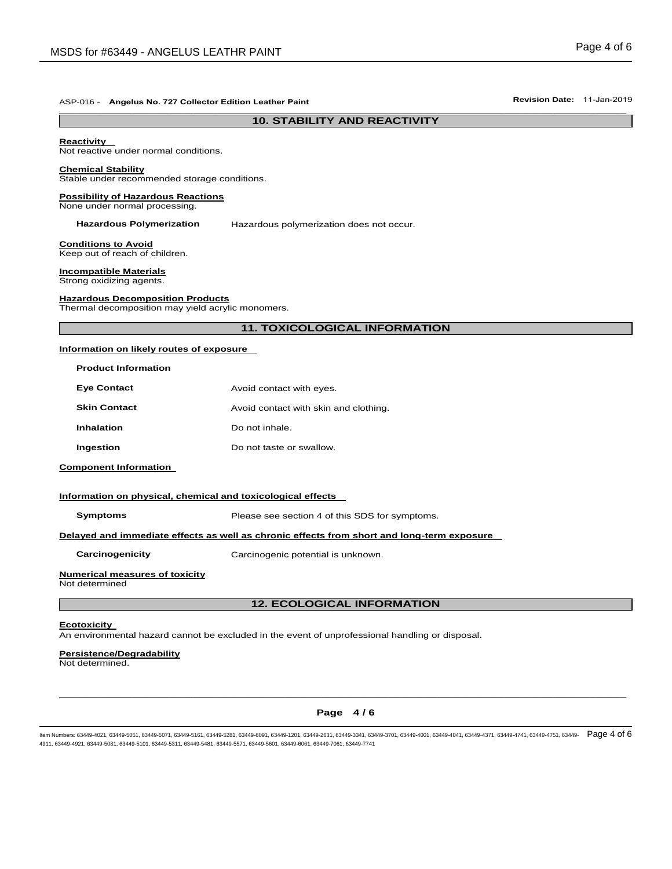### **10. STABILITY AND REACTIVITY**

#### **Reactivity**

Not reactive under normal conditions.

#### **Chemical Stability**

Stable under recommended storage conditions.

#### **Possibility of Hazardous Reactions** None under normal processing.

**Hazardous Polymerization** Hazardous polymerization does not occur.

**Conditions to Avoid** Keep out of reach of children.

**Incompatible Materials** Strong oxidizing agents.

**Hazardous Decomposition Products** Thermal decomposition may yield acrylic monomers.

#### **11. TOXICOLOGICAL INFORMATION**

#### **Information on likely routes of exposure**

| <b>Product Information</b> |                                       |
|----------------------------|---------------------------------------|
| <b>Eye Contact</b>         | Avoid contact with eyes.              |
| <b>Skin Contact</b>        | Avoid contact with skin and clothing. |
| Inhalation                 | Do not inhale                         |
| Ingestion                  | Do not taste or swallow.              |
|                            |                                       |

#### **Component Information**

#### **Information on physical, chemical and toxicological effects**

**Symptoms** Please see section 4 of this SDS for symptoms.

#### **Delayed and immediate effects as well as chronic effects from short and long-term exposure**

**Carcinogenicity** Carcinogenic potential is unknown.

#### **Numerical measures of toxicity**

Not determined

### **12. ECOLOGICAL INFORMATION**

#### **Ecotoxicity**

An environmental hazard cannot be excluded in the event of unprofessional handling or disposal.

#### **Persistence/Degradability**

Not determined.

## $\Box$  . The contribution of the contribution of the contribution of the contribution of the contribution of the contribution of the contribution of the contribution of the contribution of the contribution of the contributi **Page 4 / 6**

ltem Numbers: 63449-4021, 63449-5051, 63449-5071, 63449-5161, 63449-5281, 63449-6091, 63449-4261, 63449-4370, 63449-4001, 63449-4041, 63449-4041, 63449-4741, 63449-4741, 63449-4741, 63449-4751, 63449-4751, 63449-4751, 6344 4911, 63449-4921, 63449-5081, 63449-5101, 63449-5311, 63449-5481, 63449-5571, 63449-5601, 63449-6061, 63449-7061, 63449-7741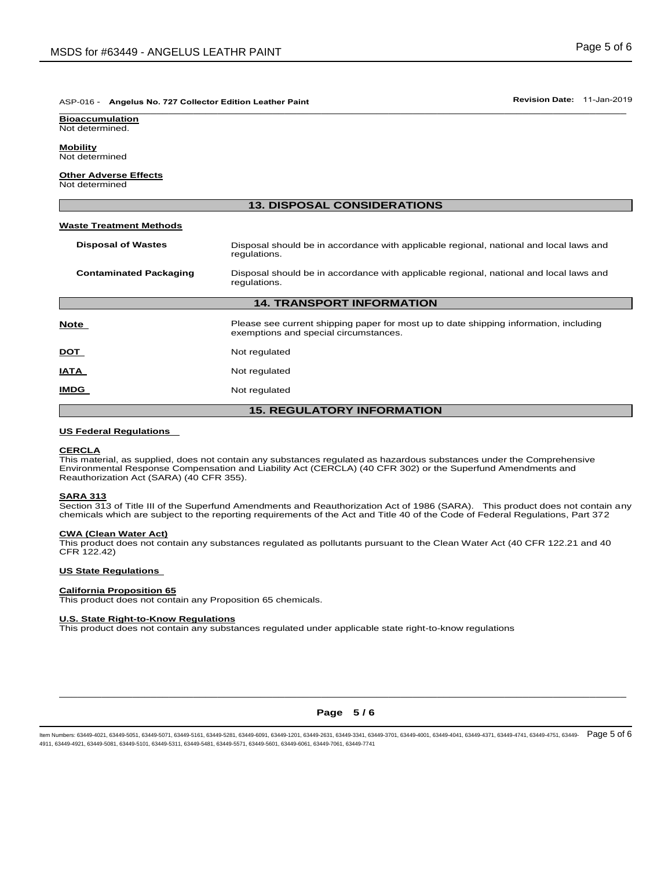#### ASP-016 - **Angelus No. 727 Collector Edition Leather Paint Revision Date:** 11-Jan-2019 \_\_\_\_\_\_\_\_\_\_\_\_\_\_\_\_\_\_\_\_\_\_\_\_\_\_\_\_\_\_\_\_\_\_\_\_\_\_\_\_\_\_\_\_\_\_\_\_\_\_\_\_\_\_\_\_\_\_\_\_\_\_\_\_\_\_\_\_\_\_\_\_\_\_\_\_\_\_\_\_\_\_\_\_\_\_\_\_\_\_\_\_\_

**Bioaccumulation** Not determined.

**Mobility**

Not determined

### **Other Adverse Effects**

Not determined

| <b>13. DISPOSAL CONSIDERATIONS</b> |                                                                                                                                |  |  |  |  |
|------------------------------------|--------------------------------------------------------------------------------------------------------------------------------|--|--|--|--|
| <b>Waste Treatment Methods</b>     |                                                                                                                                |  |  |  |  |
| <b>Disposal of Wastes</b>          | Disposal should be in accordance with applicable regional, national and local laws and<br>regulations.                         |  |  |  |  |
| <b>Contaminated Packaging</b>      | Disposal should be in accordance with applicable regional, national and local laws and<br>regulations.                         |  |  |  |  |
|                                    | <b>14. TRANSPORT INFORMATION</b>                                                                                               |  |  |  |  |
| Note                               | Please see current shipping paper for most up to date shipping information, including<br>exemptions and special circumstances. |  |  |  |  |
| <u>DOT</u>                         | Not regulated                                                                                                                  |  |  |  |  |
| IATA                               | Not regulated                                                                                                                  |  |  |  |  |
| IMDG                               | Not regulated                                                                                                                  |  |  |  |  |
| <b>15. REGULATORY INFORMATION</b>  |                                                                                                                                |  |  |  |  |

#### **US Federal Regulations**

#### **CERCLA**

This material, as supplied, does not contain any substances regulated as hazardous substances under the Comprehensive Environmental Response Compensation and Liability Act (CERCLA) (40 CFR 302) or the Superfund Amendments and Reauthorization Act (SARA) (40 CFR 355).

#### **SARA 313**

Section 313 of Title III of the Superfund Amendments and Reauthorization Act of 1986 (SARA). This product does not contain any chemicals which are subject to the reporting requirements of the Act and Title 40 of the Code of Federal Regulations, Part 372

#### **CWA (Clean Water Act)**

This product does not contain any substances regulated as pollutants pursuant to the Clean Water Act (40 CFR 122.21 and 40 CFR 122.42)

#### **US State Regulations**

#### **California Proposition 65**

This product does not contain any Proposition 65 chemicals.

#### **U.S. State Right-to-Know Regulations**

This product does not contain any substances regulated under applicable state right-to-know regulations

## $\Box$  . The contribution of the contribution of the contribution of the contribution of the contribution of the contribution of the contribution of the contribution of the contribution of the contribution of the contributi **Page 5 / 6**

ltem Numbers: 63449-4021, 63449-5051, 63449-5071, 63449-5161, 63449-5281, 63449-6091, 63449-4261, 63449-4370, 63449-4001, 63449-4041, 63449-4041, 63449-4371, 63449-4741, 63449-4741, 63449-4741, 63449-4751, 63449-4751, 6344 4911, 63449-4921, 63449-5081, 63449-5101, 63449-5311, 63449-5481, 63449-5571, 63449-5601, 63449-6061, 63449-7061, 63449-7741